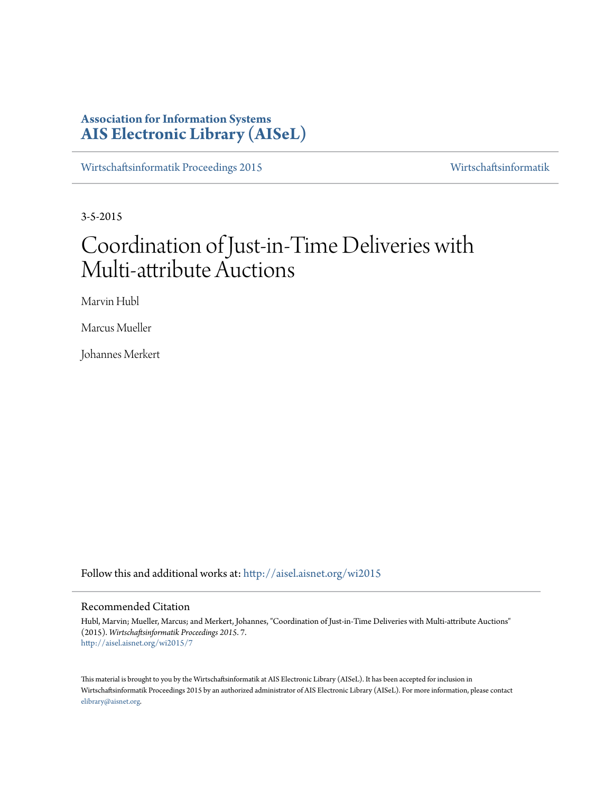# **Association for Information Systems [AIS Electronic Library \(AISeL\)](http://aisel.aisnet.org?utm_source=aisel.aisnet.org%2Fwi2015%2F7&utm_medium=PDF&utm_campaign=PDFCoverPages)**

[Wirtschaftsinformatik Proceedings 2015](http://aisel.aisnet.org/wi2015?utm_source=aisel.aisnet.org%2Fwi2015%2F7&utm_medium=PDF&utm_campaign=PDFCoverPages) [Wirtschaftsinformatik](http://aisel.aisnet.org/wi?utm_source=aisel.aisnet.org%2Fwi2015%2F7&utm_medium=PDF&utm_campaign=PDFCoverPages)

3-5-2015

# Coordination of Just-in-Time Deliveries with Multi-attribute Auctions

Marvin Hubl

Marcus Mueller

Johannes Merkert

Follow this and additional works at: [http://aisel.aisnet.org/wi2015](http://aisel.aisnet.org/wi2015?utm_source=aisel.aisnet.org%2Fwi2015%2F7&utm_medium=PDF&utm_campaign=PDFCoverPages)

# Recommended Citation

Hubl, Marvin; Mueller, Marcus; and Merkert, Johannes, "Coordination of Just-in-Time Deliveries with Multi-attribute Auctions" (2015). *Wirtschaftsinformatik Proceedings 2015*. 7. [http://aisel.aisnet.org/wi2015/7](http://aisel.aisnet.org/wi2015/7?utm_source=aisel.aisnet.org%2Fwi2015%2F7&utm_medium=PDF&utm_campaign=PDFCoverPages)

This material is brought to you by the Wirtschaftsinformatik at AIS Electronic Library (AISeL). It has been accepted for inclusion in Wirtschaftsinformatik Proceedings 2015 by an authorized administrator of AIS Electronic Library (AISeL). For more information, please contact [elibrary@aisnet.org.](mailto:elibrary@aisnet.org%3E)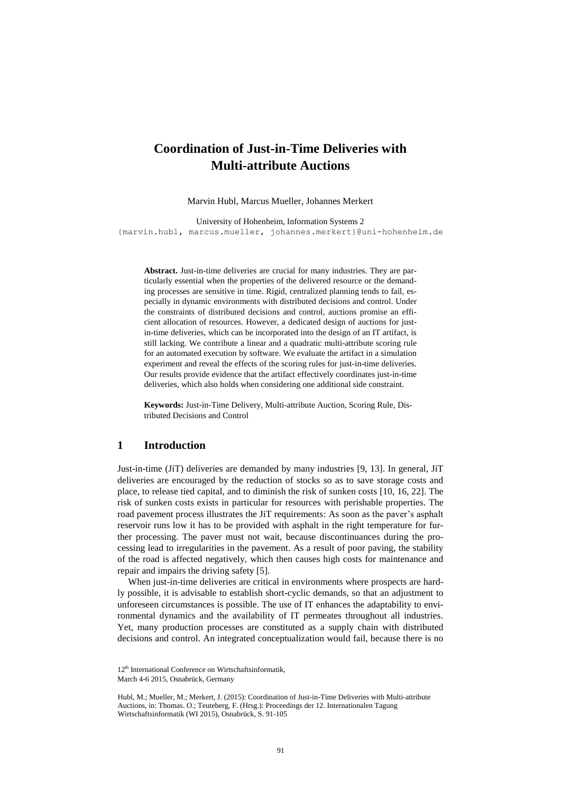# **Coordination of Just-in-Time Deliveries with Multi-attribute Auctions**

Marvin Hubl, Marcus Mueller, Johannes Merkert

University of Hohenheim, Information Systems 2 {marvin.hubl, marcus.mueller, johannes.merkert}@uni-hohenheim.de

**Abstract.** Just-in-time deliveries are crucial for many industries. They are particularly essential when the properties of the delivered resource or the demanding processes are sensitive in time. Rigid, centralized planning tends to fail, especially in dynamic environments with distributed decisions and control. Under the constraints of distributed decisions and control, auctions promise an efficient allocation of resources. However, a dedicated design of auctions for justin-time deliveries, which can be incorporated into the design of an IT artifact, is still lacking. We contribute a linear and a quadratic multi-attribute scoring rule for an automated execution by software. We evaluate the artifact in a simulation experiment and reveal the effects of the scoring rules for just-in-time deliveries. Our results provide evidence that the artifact effectively coordinates just-in-time deliveries, which also holds when considering one additional side constraint.

**Keywords:** Just-in-Time Delivery, Multi-attribute Auction, Scoring Rule, Distributed Decisions and Control

# **1 Introduction**

Just-in-time (JiT) deliveries are demanded by many industries [9, 13]. In general, JiT deliveries are encouraged by the reduction of stocks so as to save storage costs and place, to release tied capital, and to diminish the risk of sunken costs [10, 16, 22]. The risk of sunken costs exists in particular for resources with perishable properties. The road pavement process illustrates the JiT requirements: As soon as the paver's asphalt reservoir runs low it has to be provided with asphalt in the right temperature for further processing. The paver must not wait, because discontinuances during the processing lead to irregularities in the pavement. As a result of poor paving, the stability of the road is affected negatively, which then causes high costs for maintenance and repair and impairs the driving safety [5].

When just-in-time deliveries are critical in environments where prospects are hardly possible, it is advisable to establish short-cyclic demands, so that an adjustment to unforeseen circumstances is possible. The use of IT enhances the adaptability to environmental dynamics and the availability of IT permeates throughout all industries. Yet, many production processes are constituted as a supply chain with distributed decisions and control. An integrated conceptualization would fail, because there is no

<sup>12&</sup>lt;sup>th</sup> International Conference on Wirtschaftsinformatik, March 4-6 2015, Osnabrück, Germany

Hubl, M.; Mueller, M.; Merkert, J. (2015): Coordination of Just-in-Time Deliveries with Multi-attribute Auctions, in: Thomas. O.; Teuteberg, F. (Hrsg.): Proceedings der 12. Internationalen Tagung Wirtschaftsinformatik (WI 2015), Osnabrück, S. 91-105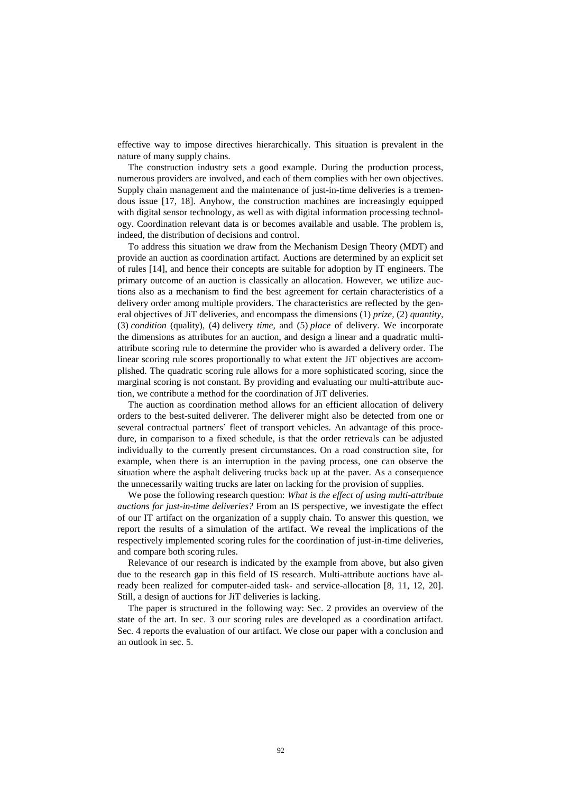effective way to impose directives hierarchically. This situation is prevalent in the nature of many supply chains.

The construction industry sets a good example. During the production process, numerous providers are involved, and each of them complies with her own objectives. Supply chain management and the maintenance of just-in-time deliveries is a tremendous issue [17, 18]. Anyhow, the construction machines are increasingly equipped with digital sensor technology, as well as with digital information processing technology. Coordination relevant data is or becomes available and usable. The problem is, indeed, the distribution of decisions and control.

To address this situation we draw from the Mechanism Design Theory (MDT) and provide an auction as coordination artifact. Auctions are determined by an explicit set of rules [14], and hence their concepts are suitable for adoption by IT engineers. The primary outcome of an auction is classically an allocation. However, we utilize auctions also as a mechanism to find the best agreement for certain characteristics of a delivery order among multiple providers. The characteristics are reflected by the general objectives of JiT deliveries, and encompass the dimensions (1) *prize,* (2) *quantity*, (3) *condition* (quality), (4) delivery *time*, and (5) *place* of delivery. We incorporate the dimensions as attributes for an auction, and design a linear and a quadratic multiattribute scoring rule to determine the provider who is awarded a delivery order. The linear scoring rule scores proportionally to what extent the JiT objectives are accomplished. The quadratic scoring rule allows for a more sophisticated scoring, since the marginal scoring is not constant. By providing and evaluating our multi-attribute auction, we contribute a method for the coordination of JiT deliveries.

The auction as coordination method allows for an efficient allocation of delivery orders to the best-suited deliverer. The deliverer might also be detected from one or several contractual partners' fleet of transport vehicles. An advantage of this procedure, in comparison to a fixed schedule, is that the order retrievals can be adjusted individually to the currently present circumstances. On a road construction site, for example, when there is an interruption in the paving process, one can observe the situation where the asphalt delivering trucks back up at the paver. As a consequence the unnecessarily waiting trucks are later on lacking for the provision of supplies.

We pose the following research question: *What is the effect of using multi-attribute auctions for just-in-time deliveries?* From an IS perspective, we investigate the effect of our IT artifact on the organization of a supply chain. To answer this question, we report the results of a simulation of the artifact. We reveal the implications of the respectively implemented scoring rules for the coordination of just-in-time deliveries, and compare both scoring rules.

Relevance of our research is indicated by the example from above, but also given due to the research gap in this field of IS research. Multi-attribute auctions have already been realized for computer-aided task- and service-allocation [8, 11, 12, 20]. Still, a design of auctions for JiT deliveries is lacking.

The paper is structured in the following way: Sec. [2](#page-3-0) provides an overview of the state of the art. In sec. [3](#page-4-0) our scoring rules are developed as a coordination artifact. Sec. [4](#page-10-0) reports the evaluation of our artifact. We close our paper with a conclusion and an outlook in sec. [5.](#page-13-0)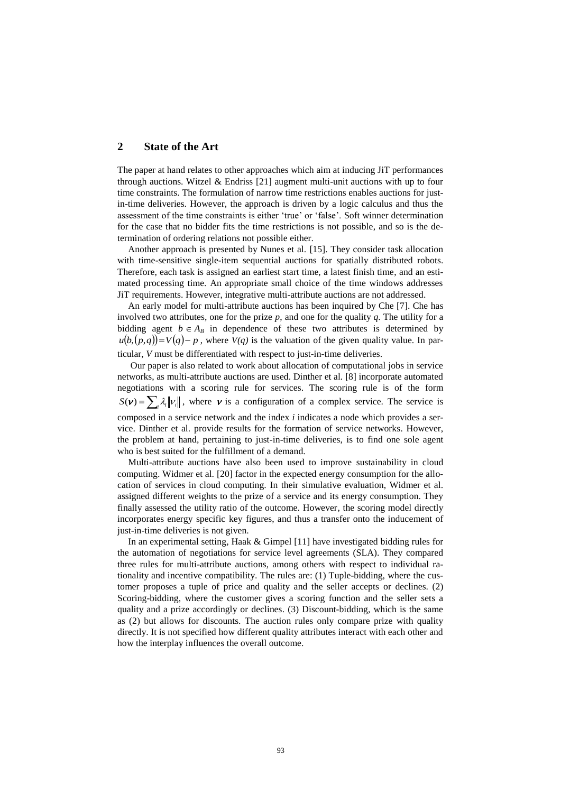# <span id="page-3-0"></span>**2 State of the Art**

The paper at hand relates to other approaches which aim at inducing JiT performances through auctions. Witzel  $\&$  Endriss [21] augment multi-unit auctions with up to four time constraints. The formulation of narrow time restrictions enables auctions for justin-time deliveries. However, the approach is driven by a logic calculus and thus the assessment of the time constraints is either 'true' or 'false'. Soft winner determination for the case that no bidder fits the time restrictions is not possible, and so is the determination of ordering relations not possible either.

Another approach is presented by Nunes et al. [15]. They consider task allocation with time-sensitive single-item sequential auctions for spatially distributed robots. Therefore, each task is assigned an earliest start time, a latest finish time, and an estimated processing time. An appropriate small choice of the time windows addresses JiT requirements. However, integrative multi-attribute auctions are not addressed.

An early model for multi-attribute auctions has been inquired by Che [7]. Che has involved two attributes, one for the prize *p*, and one for the quality *q*. The utility for a bidding agent  $b \in A_B$  in dependence of these two attributes is determined by  $u(b,(p,q)) = V(q) - p$ , where  $V(q)$  is the valuation of the given quality value. In particular, *V* must be differentiated with respect to just-in-time deliveries.

Our paper is also related to work about allocation of computational jobs in service networks, as multi-attribute auctions are used. Dinther et al. [8] incorporate automated negotiations with a scoring rule for services. The scoring rule is of the form  $S(\mathbf{v}) = \sum_i \lambda_i ||v_i||$ , where **v** is a configuration of a complex service. The service is composed in a service network and the index *i* indicates a node which provides a service. Dinther et al. provide results for the formation of service networks. However, the problem at hand, pertaining to just-in-time deliveries, is to find one sole agent who is best suited for the fulfillment of a demand.

Multi-attribute auctions have also been used to improve sustainability in cloud computing. Widmer et al. [20] factor in the expected energy consumption for the allocation of services in cloud computing. In their simulative evaluation, Widmer et al. assigned different weights to the prize of a service and its energy consumption. They finally assessed the utility ratio of the outcome. However, the scoring model directly incorporates energy specific key figures, and thus a transfer onto the inducement of just-in-time deliveries is not given.

In an experimental setting, Haak & Gimpel [11] have investigated bidding rules for the automation of negotiations for service level agreements (SLA). They compared three rules for multi-attribute auctions, among others with respect to individual rationality and incentive compatibility. The rules are: (1) Tuple-bidding, where the customer proposes a tuple of price and quality and the seller accepts or declines. (2) Scoring-bidding, where the customer gives a scoring function and the seller sets a quality and a prize accordingly or declines. (3) Discount-bidding, which is the same as (2) but allows for discounts. The auction rules only compare prize with quality directly. It is not specified how different quality attributes interact with each other and how the interplay influences the overall outcome.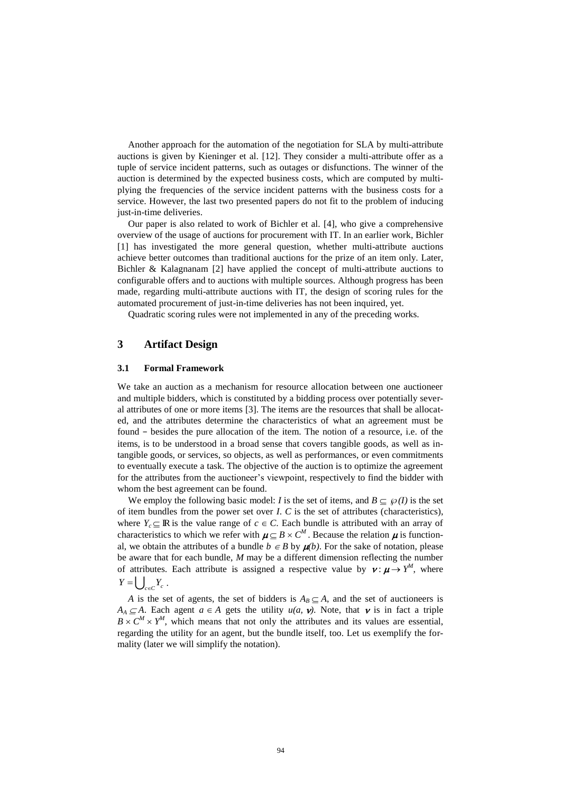Another approach for the automation of the negotiation for SLA by multi-attribute auctions is given by Kieninger et al. [12]. They consider a multi-attribute offer as a tuple of service incident patterns, such as outages or disfunctions. The winner of the auction is determined by the expected business costs, which are computed by multiplying the frequencies of the service incident patterns with the business costs for a service. However, the last two presented papers do not fit to the problem of inducing just-in-time deliveries.

Our paper is also related to work of Bichler et al. [4], who give a comprehensive overview of the usage of auctions for procurement with IT. In an earlier work, Bichler [1] has investigated the more general question, whether multi-attribute auctions achieve better outcomes than traditional auctions for the prize of an item only. Later, Bichler & Kalagnanam [2] have applied the concept of multi-attribute auctions to configurable offers and to auctions with multiple sources. Although progress has been made, regarding multi-attribute auctions with IT, the design of scoring rules for the automated procurement of just-in-time deliveries has not been inquired, yet.

<span id="page-4-0"></span>Quadratic scoring rules were not implemented in any of the preceding works.

# **3 Artifact Design**

#### **3.1 Formal Framework**

We take an auction as a mechanism for resource allocation between one auctioneer and multiple bidders, which is constituted by a bidding process over potentially several attributes of one or more items [3]. The items are the resources that shall be allocated, and the attributes determine the characteristics of what an agreement must be found − besides the pure allocation of the item. The notion of a resource, i.e. of the items, is to be understood in a broad sense that covers tangible goods, as well as intangible goods, or services, so objects, as well as performances, or even commitments to eventually execute a task. The objective of the auction is to optimize the agreement for the attributes from the auctioneer's viewpoint, respectively to find the bidder with whom the best agreement can be found.

We employ the following basic model: *I* is the set of items, and  $B \subseteq \mathcal{P}(I)$  is the set of item bundles from the power set over *I*. *C* is the set of attributes (characteristics), where  $Y_c \subseteq \mathbb{R}$  is the value range of  $c \in C$ . Each bundle is attributed with an array of characteristics to which we refer with  $\mu \subseteq B \times C^M$ . Because the relation  $\mu$  is functional, we obtain the attributes of a bundle  $b \in B$  by  $\mu(b)$ . For the sake of notation, please be aware that for each bundle, *M* may be a different dimension reflecting the number of attributes. Each attribute is assigned a respective value by  $v : \mu \rightarrow Y^M$ , where  $Y = \bigcup_{c \in C} Y_c$ .

*A* is the set of agents, the set of bidders is  $A_B \subseteq A$ , and the set of auctioneers is  $A_A \subseteq A$ . Each agent  $a \in A$  gets the utility  $u(a, v)$ . Note, that v is in fact a triple  $B \times C^M \times Y^M$ , which means that not only the attributes and its values are essential, regarding the utility for an agent, but the bundle itself, too. Let us exemplify the formality (later we will simplify the notation).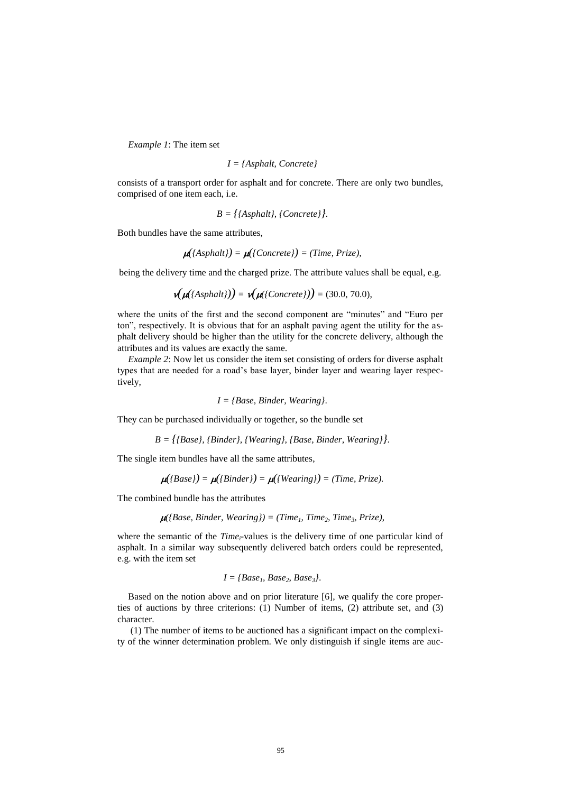*Example 1*: The item set

$$
I = {Asphalt, \,Concrete}
$$

consists of a transport order for asphalt and for concrete. There are only two bundles, comprised of one item each, i.e.

$$
B = \{\text{Asphalt}, \text{ (Concrete)}\}.
$$

Both bundles have the same attributes,

$$
\mu({\text{Asphalt}}) = \mu({\text{Concrete}}) = {\text{Time, Prize}}),
$$

being the delivery time and the charged prize. The attribute values shall be equal, e.g.

$$
\mathbf{v}(\mathbf{\mu}(\{Asphalt\})) = \mathbf{v}(\mathbf{\mu}(\{Concrete\})) = (30.0, 70.0),
$$

where the units of the first and the second component are "minutes" and "Euro per ton", respectively. It is obvious that for an asphalt paving agent the utility for the asphalt delivery should be higher than the utility for the concrete delivery, although the attributes and its values are exactly the same.

*Example 2*: Now let us consider the item set consisting of orders for diverse asphalt types that are needed for a road's base layer, binder layer and wearing layer respectively,

$$
I = {Base, Binder, Wearing}.
$$

They can be purchased individually or together, so the bundle set

$$
B = \{ \{Base\}, \{Binder\}, \{Wearing\}, \{Base, Binder, Wearing\} \}.
$$

The single item bundles have all the same attributes,

$$
\mu({\{Base\}}) = \mu({\{Binder\}}) = \mu({\{Wearing\}}) = (Time, Prize).
$$

The combined bundle has the attributes

$$
\mu({\text{Base, Binder, Wearing}}) = (Time_1, Time_2, Time_3, Prize),
$$

where the semantic of the *Time<sub>i</sub>*-values is the delivery time of one particular kind of asphalt. In a similar way subsequently delivered batch orders could be represented, e.g. with the item set

$$
I = {Base1, Base2, Base3 }.
$$

Based on the notion above and on prior literature [6], we qualify the core properties of auctions by three criterions: (1) Number of items, (2) attribute set, and (3) character.

(1) The number of items to be auctioned has a significant impact on the complexity of the winner determination problem. We only distinguish if single items are auc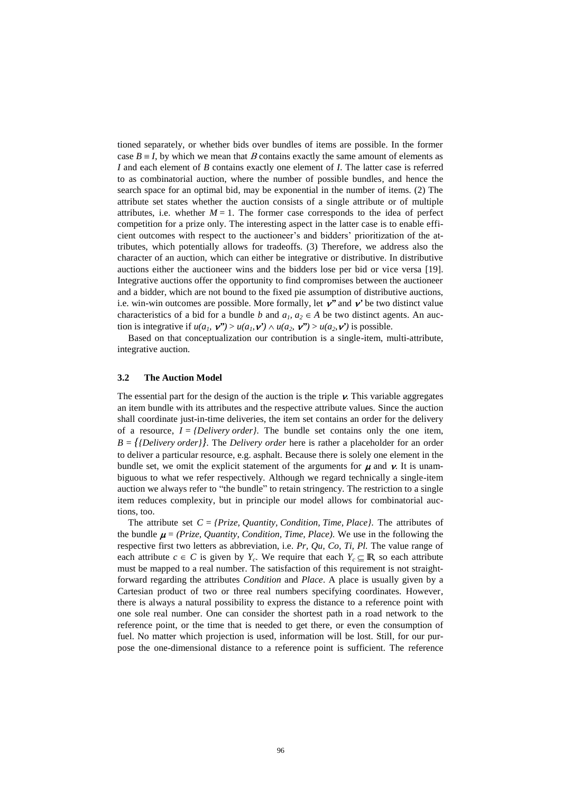tioned separately, or whether bids over bundles of items are possible. In the former case  $B \equiv I$ , by which we mean that B contains exactly the same amount of elements as *I* and each element of *B* contains exactly one element of *I*. The latter case is referred to as combinatorial auction, where the number of possible bundles, and hence the search space for an optimal bid, may be exponential in the number of items. (2) The attribute set states whether the auction consists of a single attribute or of multiple attributes, i.e. whether  $M = 1$ . The former case corresponds to the idea of perfect competition for a prize only. The interesting aspect in the latter case is to enable efficient outcomes with respect to the auctioneer's and bidders' prioritization of the attributes, which potentially allows for tradeoffs. (3) Therefore, we address also the character of an auction, which can either be integrative or distributive. In distributive auctions either the auctioneer wins and the bidders lose per bid or vice versa [19]. Integrative auctions offer the opportunity to find compromises between the auctioneer and a bidder, which are not bound to the fixed pie assumption of distributive auctions, i.e. win-win outcomes are possible. More formally, let  $v$ <sup>"</sup> and  $v'$  be two distinct value characteristics of a bid for a bundle *b* and  $a_1, a_2 \in A$  be two distinct agents. An auction is integrative if  $u(a_1, \mathbf{v}^*) > u(a_1, \mathbf{v}^*) \wedge u(a_2, \mathbf{v}^*) > u(a_2, \mathbf{v}^*)$  is possible.

Based on that conceptualization our contribution is a single-item, multi-attribute, integrative auction.

#### **3.2 The Auction Model**

The essential part for the design of the auction is the triple  $\nu$ . This variable aggregates an item bundle with its attributes and the respective attribute values. Since the auction shall coordinate just-in-time deliveries, the item set contains an order for the delivery of a resource,  $I = \{Delivery \ order\}$ . The bundle set contains only the one item,  $B = \{ \{Delivery \ order\} \}.$  The *Delivery order* here is rather a placeholder for an order to deliver a particular resource, e.g. asphalt. Because there is solely one element in the bundle set, we omit the explicit statement of the arguments for  $\mu$  and  $\nu$ . It is unambiguous to what we refer respectively. Although we regard technically a single-item auction we always refer to "the bundle" to retain stringency. The restriction to a single item reduces complexity, but in principle our model allows for combinatorial auctions, too.

The attribute set  $C = \{Prize, Quantity, Condition, Time, Place\}$ . The attributes of the bundle  $\mu = (Prize, Quantity, Condition, Time, Place)$ . We use in the following the respective first two letters as abbreviation, i.e. *Pr, Qu, Co, Ti, Pl.* The value range of each attribute  $c \in C$  is given by  $Y_c$ . We require that each  $Y_c \subseteq \mathbb{R}$ , so each attribute must be mapped to a real number. The satisfaction of this requirement is not straightforward regarding the attributes *Condition* and *Place*. A place is usually given by a Cartesian product of two or three real numbers specifying coordinates. However, there is always a natural possibility to express the distance to a reference point with one sole real number. One can consider the shortest path in a road network to the reference point, or the time that is needed to get there, or even the consumption of fuel. No matter which projection is used, information will be lost. Still, for our purpose the one-dimensional distance to a reference point is sufficient. The reference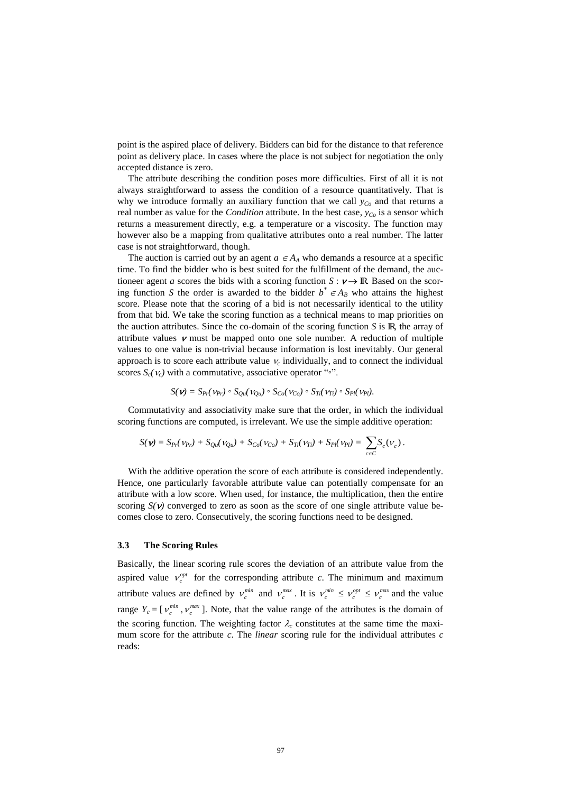point is the aspired place of delivery. Bidders can bid for the distance to that reference point as delivery place. In cases where the place is not subject for negotiation the only accepted distance is zero.

The attribute describing the condition poses more difficulties. First of all it is not always straightforward to assess the condition of a resource quantitatively. That is why we introduce formally an auxiliary function that we call  $y_C$  and that returns a real number as value for the *Condition* attribute. In the best case, *yCo* is a sensor which returns a measurement directly, e.g. a temperature or a viscosity. The function may however also be a mapping from qualitative attributes onto a real number. The latter case is not straightforward, though.

The auction is carried out by an agent  $a \in A_A$  who demands a resource at a specific time. To find the bidder who is best suited for the fulfillment of the demand, the auctioneer agent *a* scores the bids with a scoring function  $S : \nu \rightarrow \mathbb{R}$ . Based on the scoring function *S* the order is awarded to the bidder  $b^* \in A_B$  who attains the highest score. Please note that the scoring of a bid is not necessarily identical to the utility from that bid. We take the scoring function as a technical means to map priorities on the auction attributes. Since the co-domain of the scoring function  $S$  is  $\mathbb{R}$ , the array of attribute values  $\nu$  must be mapped onto one sole number. A reduction of multiple values to one value is non-trivial because information is lost inevitably. Our general approach is to score each attribute value  $v_c$  individually, and to connect the individual scores  $S_c(\nu_c)$  with a commutative, associative operator "∘".

$$
S(\nu) = S_{Pr}(\nu_{Pr}) \circ S_{Qu}(\nu_{Qu}) \circ S_{Co}(\nu_{Co}) \circ S_{Ti}(\nu_{Ti}) \circ S_{Pl}(\nu_{Pl}).
$$

[Commutativity](http://www.dict.cc/englisch-deutsch/commutativity.html) and associativity make sure that the order, in which the individual scoring functions are computed, is irrelevant. We use the simple additive operation:

$$
S(\nu) = S_{Pr}(\nu_{Pr}) + S_{Qu}(\nu_{Qu}) + S_{Co}(\nu_{Co}) + S_{Ti}(\nu_{Ti}) + S_{Pl}(\nu_{Pl}) = \sum_{c \in C} S_c(\nu_c).
$$

With the additive operation the score of each attribute is considered independently. Hence, one particularly favorable attribute value can potentially compensate for an attribute with a low score. When used, for instance, the multiplication, then the entire scoring  $S(\nu)$  converged to zero as soon as the score of one single attribute value becomes close to zero. Consecutively, the scoring functions need to be designed.

# **3.3 The Scoring Rules**

Basically, the linear scoring rule scores the deviation of an attribute value from the aspired value  $v_c^{opt}$  for the corresponding attribute *c*. The minimum and maximum attribute values are defined by  $v_c^{min}$  and  $v_c^{max}$ . It is  $v_c^{min} \le v_c^{opt} \le v_c^{max}$  and the value range  $Y_c = [v_c^{min}, v_c^{max}]$ . Note, that the value range of the attributes is the domain of the scoring function. The weighting factor  $\lambda_c$  constitutes at the same time the maximum score for the attribute *c*. The *linear* scoring rule for the individual attributes *c* reads: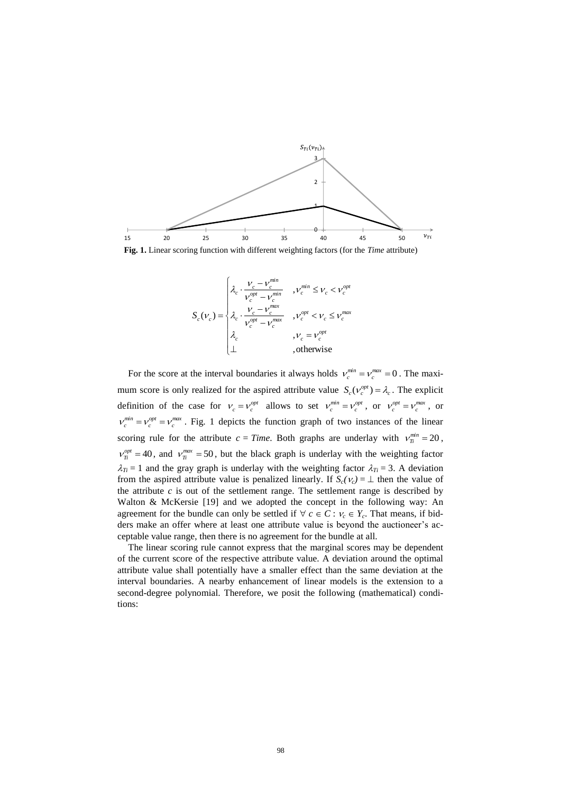

<span id="page-8-0"></span>**Fig. 1.** Linear scoring function with different weighting factors (for the *Time* attribute)



For the score at the interval boundaries it always holds  $v_c^{min} = v_c^{max} = 0$ . The maximum score is only realized for the aspired attribute value  $S_c(V_c^{opt}) = \lambda_c$ . The explicit definition of the case for  $v_c = v_c^{opt}$  allows to set  $v_c^{min} = v_c^{opt}$ , or  $v_c^{opt} = v_c^{max}$ , or  $v_c^{min} = v_c^{opt} = v_c^{max}$ . [Fig. 1](#page-8-0) depicts the function graph of two instances of the linear scoring rule for the attribute  $c = Time$ . Both graphs are underlay with  $v_T^{min} = 20$ ,  $v_T^{opt} = 40$ , and  $v_T^{max} = 50$ , but the black graph is underlay with the weighting factor  $\lambda_{Ti} = 1$  and the gray graph is underlay with the weighting factor  $\lambda_{Ti} = 3$ . A deviation from the aspired attribute value is penalized linearly. If  $S_c(\nu_c) = \perp$  then the value of the attribute  $c$  is out of the settlement range. The settlement range is described by Walton & McKersie [19] and we adopted the concept in the following way: An agreement for the bundle can only be settled if  $\forall c \in C : v_c \in Y_c$ . That means, if bidders make an offer where at least one attribute value is beyond the auctioneer's acceptable value range, then there is no agreement for the bundle at all.

The linear scoring rule cannot express that the marginal scores may be dependent of the current score of the respective attribute value. A deviation around the optimal attribute value shall potentially have a smaller effect than the same deviation at the interval boundaries. A nearby enhancement of linear models is the extension to a second-degree polynomial. Therefore, we posit the following (mathematical) conditions: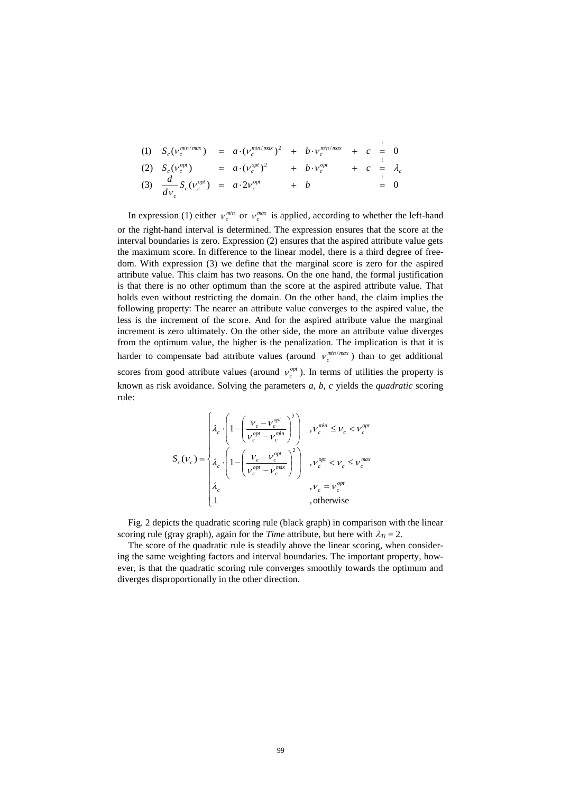(1) 
$$
S_c(v_c^{\min/\max}) = a \cdot (v_c^{\min/\max})^2 + b \cdot v_c^{\min/\max} + c = 0
$$
  
\n(2)  $S_c(v_c^{\text{opt}}) = a \cdot (v_c^{\text{opt}})^2 + b \cdot v_c^{\text{opt}} + c = \lambda_c$   
\n(3)  $\frac{d}{dv_c} S_c(v_c^{\text{opt}}) = a \cdot 2v_c^{\text{opt}} + b = 0$ 

In expression (1) either  $v_c^{min}$  or  $v_c^{max}$  is applied, according to whether the left-hand or the right-hand interval is determined. The expression ensures that the score at the interval boundaries is zero. Expression (2) ensures that the aspired attribute value gets the maximum score. In difference to the linear model, there is a third degree of freedom. With expression (3) we define that the marginal score is zero for the aspired attribute value. This claim has two reasons. On the one hand, the formal justification is that there is no other optimum than the score at the aspired attribute value. That holds even without restricting the domain. On the other hand, the claim implies the following property: The nearer an attribute value converges to the aspired value, the less is the increment of the score. And for the aspired attribute value the marginal increment is zero ultimately. On the other side, the more an attribute value diverges from the optimum value, the higher is the penalization. The implication is that it is harder to compensate bad attribute values (around  $v_c^{\min/\max}$ ) than to get additional scores from good attribute values (around  $v_c^{opt}$ ). In terms of utilities the property is known as risk avoidance. Solving the parameters *a, b, c* yields the *quadratic* scoring rule:

$$
S_c(\nu_c) = \begin{cases} \n\lambda_c \cdot \left( 1 - \left( \frac{V_c - V_c^{opt}}{V_c^{opt} - V_c^{min}} \right)^2 \right) & , \nu_c^{min} \leq \nu_c < \nu_c^{opt} \\ \n\lambda_c \cdot \left( 1 - \left( \frac{V_c - V_c^{opt}}{V_c^{opt} - V_c^{max}} \right)^2 \right) & , \nu_c^{opt} < \nu_c \leq \nu_c^{max} \\ \n\lambda_c & , \nu_c = \nu_c^{opt} \\ \n\perp & , \text{otherwise} \n\end{cases}
$$

[Fig. 2](#page-10-1) depicts the quadratic scoring rule (black graph) in comparison with the linear scoring rule (gray graph), again for the *Time* attribute, but here with  $\lambda_T = 2$ .

The score of the quadratic rule is steadily above the linear scoring, when considering the same weighting factors and interval boundaries. The important property, however, is that the quadratic scoring rule converges smoothly towards the optimum and diverges disproportionally in the other direction.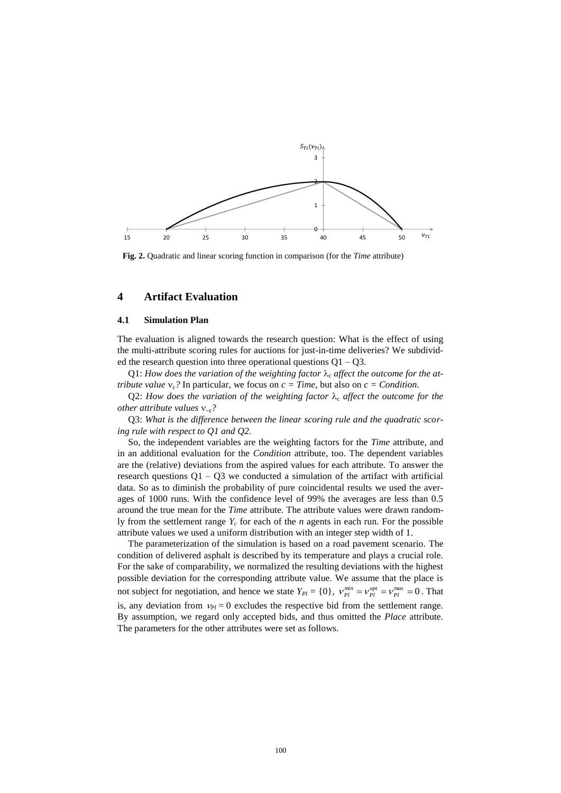

<span id="page-10-1"></span>**Fig. 2.** Quadratic and linear scoring function in comparison (for the *Time* attribute)

### <span id="page-10-0"></span>**4 Artifact Evaluation**

#### **4.1 Simulation Plan**

The evaluation is aligned towards the research question: What is the effect of using the multi-attribute scoring rules for auctions for just-in-time deliveries? We subdivided the research question into three operational questions  $Q1 - Q3$ .

 $Q1$ : How does the variation of the weighting factor  $\lambda_c$  affect the outcome for the at*tribute value*  $v_c$ ? In particular, we focus on  $c = Time$ , but also on  $c = Condition$ .

Q2: How does the variation of the weighting factor  $\lambda_c$  affect the outcome for the *other attribute values* −c*?*

Q3: *What is the difference between the linear scoring rule and the quadratic scoring rule with respect to Q1 and Q2.*

So, the independent variables are the weighting factors for the *Time* attribute, and in an additional evaluation for the *Condition* attribute, too. The dependent variables are the (relative) deviations from the aspired values for each attribute. To answer the research questions  $Q1 - Q3$  we conducted a simulation of the artifact with artificial data. So as to diminish the probability of pure coincidental results we used the averages of 1000 runs. With the confidence level of 99% the averages are less than 0.5 around the true mean for the *Time* attribute. The attribute values were drawn randomly from the settlement range  $Y_c$  for each of the *n* agents in each run. For the possible attribute values we used a uniform distribution with an integer step width of 1.

The parameterization of the simulation is based on a road pavement scenario. The condition of delivered asphalt is described by its temperature and plays a crucial role. For the sake of comparability, we normalized the resulting deviations with the highest possible deviation for the corresponding attribute value. We assume that the place is not subject for negotiation, and hence we state  $Y_{Pl} = \{0\}$ ,  $V_{Pl}^{min} = V_{Pl}^{opt} = V_{Pl}^{max} = 0$ . That is, any deviation from  $v_{Pl} = 0$  excludes the respective bid from the settlement range. By assumption, we regard only accepted bids, and thus omitted the *Place* attribute. The parameters for the other attributes were set as follows.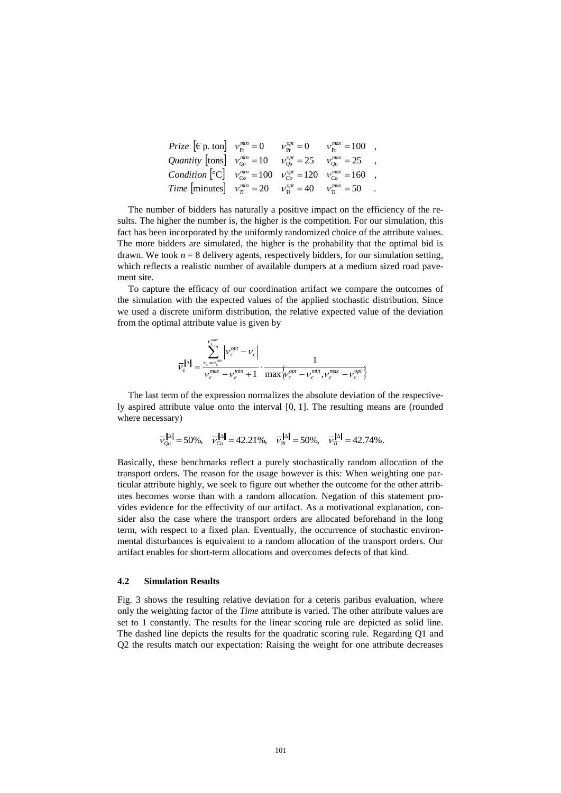| <i>Prize</i> $[\epsilon_{\rm p} \text{, ton}]$ $v_{\rm pr}^{min} = 0$ $v_{\rm pr}^{opt} = 0$ $v_{\rm pr}^{max} = 100$ , |  |  |
|-------------------------------------------------------------------------------------------------------------------------|--|--|
| Quantity $\begin{bmatrix} \text{tons} \end{bmatrix}$ $v_{0u}^{min} = 10$ $v_{0u}^{opt} = 25$ $v_{0u}^{max} = 25$ ,      |  |  |
| <i>Condition</i> $\left[ {}^{\circ}C \right]$ $v_{Co}^{min} = 100$ $v_{Co}^{opt} = 120$ $v_{Co}^{max} = 160$ ,          |  |  |
| <i>Time</i> [minutes] $v_T^{min} = 20$ $v_T^{opt} = 40$ $v_T^{max} = 50$ .                                              |  |  |

The number of bidders has naturally a positive impact on the efficiency of the results. The higher the number is, the higher is the competition. For our simulation, this fact has been incorporated by the uniformly randomized choice of the attribute values. The more bidders are simulated, the higher is the probability that the optimal bid is drawn. We took  $n = 8$  delivery agents, respectively bidders, for our simulation setting, which reflects a realistic number of available dumpers at a medium sized road pavement site.

To capture the efficacy of our coordination artifact we compare the outcomes of the simulation with the expected values of the applied stochastic distribution. Since we used a discrete uniform distribution, the relative expected value of the deviation from the optimal attribute value is given by

$$
\overline{\mathcal{V}}_c^{\|\Delta\|} = \frac{\sum\limits_{\nu_c = \nu_c^{min}}^{\nu_c^{max}} \left| \mathcal{V}_c^{opt} - \mathcal{V}_c \right|}{\nu_c^{max} - \nu_c^{min} + 1} \cdot \frac{1}{\max\left\{ \mathcal{V}_c^{opt} - \mathcal{V}_c^{min}, \mathcal{V}_c^{max} - \mathcal{V}_c^{opt} \right\}}
$$

The last term of the expression normalizes the absolute deviation of the respectively aspired attribute value onto the interval [0, 1]. The resulting means are (rounded where necessary)

$$
\overline{v}_{0u}^{\|\Delta\|} = 50\%, \quad \overline{v}_{Co}^{\|\Delta\|} = 42.21\%, \quad \overline{v}_{Pr}^{\|\Delta\|} = 50\%, \quad \overline{v}_{\overline{n}}^{\|\Delta\|} = 42.74\%.
$$

Basically, these benchmarks reflect a purely stochastically random allocation of the transport orders. The reason for the usage however is this: When weighting one particular attribute highly, we seek to figure out whether the outcome for the other attributes becomes worse than with a random allocation. Negation of this statement provides evidence for the effectivity of our artifact. As a motivational explanation, consider also the case where the transport orders are allocated beforehand in the long term, with respect to a fixed plan. Eventually, the occurrence of stochastic environmental disturbances is equivalent to a random allocation of the transport orders. Our artifact enables for short-term allocations and overcomes defects of that kind.

#### **4.2 Simulation Results**

[Fig. 3](#page-12-0) shows the resulting relative deviation for a ceteris paribus evaluation, where only the weighting factor of the *Time* attribute is varied. The other attribute values are set to 1 constantly. The results for the linear scoring rule are depicted as solid line. The dashed line depicts the results for the quadratic scoring rule. Regarding Q1 and Q2 the results match our expectation: Raising the weight for one attribute decreases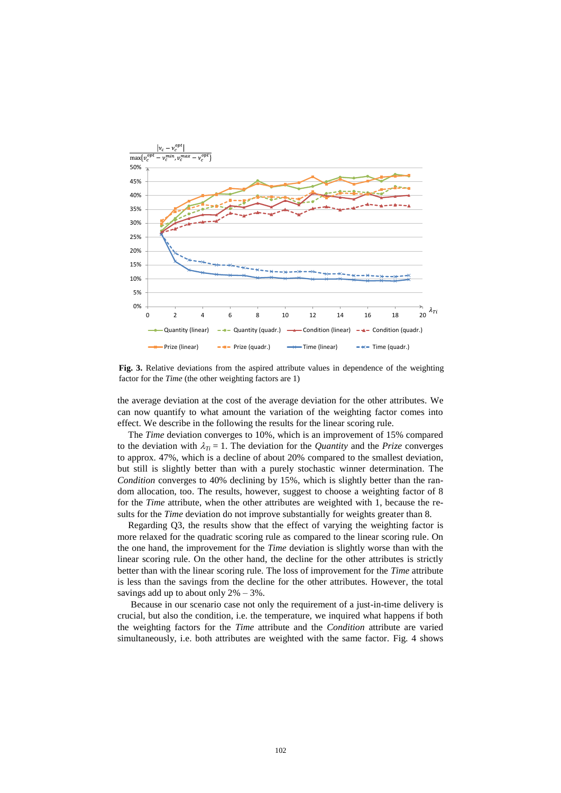

<span id="page-12-0"></span>**Fig. 3.** Relative deviations from the aspired attribute values in dependence of the weighting factor for the *Time* (the other weighting factors are 1)

the average deviation at the cost of the average deviation for the other attributes. We can now quantify to what amount the variation of the weighting factor comes into effect. We describe in the following the results for the linear scoring rule.

The *Time* deviation converges to 10%, which is an improvement of 15% compared to the deviation with  $\lambda_{Ti} = 1$ . The deviation for the *Quantity* and the *Prize* converges to approx. 47%, which is a decline of about 20% compared to the smallest deviation, but still is slightly better than with a purely stochastic winner determination. The *Condition* converges to 40% declining by 15%, which is slightly better than the random allocation, too. The results, however, suggest to choose a weighting factor of 8 for the *Time* attribute, when the other attributes are weighted with 1, because the results for the *Time* deviation do not improve substantially for weights greater than 8.

Regarding Q3, the results show that the effect of varying the weighting factor is more relaxed for the quadratic scoring rule as compared to the linear scoring rule. On the one hand, the improvement for the *Time* deviation is slightly worse than with the linear scoring rule. On the other hand, the decline for the other attributes is strictly better than with the linear scoring rule. The loss of improvement for the *Time* attribute is less than the savings from the decline for the other attributes. However, the total savings add up to about only  $2\% - 3\%$ .

Because in our scenario case not only the requirement of a just-in-time delivery is crucial, but also the condition, i.e. the temperature, we inquired what happens if both the weighting factors for the *Time* attribute and the *Condition* attribute are varied simultaneously, i.e. both attributes are weighted with the same factor. [Fig. 4](#page-13-1) shows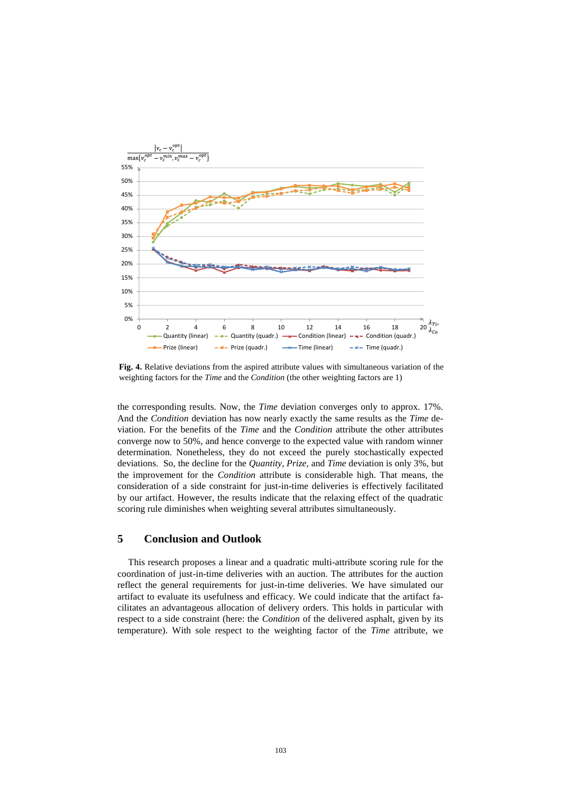

<span id="page-13-1"></span>**Fig. 4.** Relative deviations from the aspired attribute values with simultaneous variation of the weighting factors for the *Time* and the *Condition* (the other weighting factors are 1)

the corresponding results. Now, the *Time* deviation converges only to approx. 17%. And the *Condition* deviation has now nearly exactly the same results as the *Time* deviation. For the benefits of the *Time* and the *Condition* attribute the other attributes converge now to 50%, and hence converge to the expected value with random winner determination. Nonetheless, they do not exceed the purely stochastically expected deviations. So, the decline for the *Quantity, Prize*, and *Time* deviation is only 3%, but the improvement for the *Condition* attribute is considerable high. That means, the consideration of a side constraint for just-in-time deliveries is effectively facilitated by our artifact. However, the results indicate that the relaxing effect of the quadratic scoring rule diminishes when weighting several attributes simultaneously.

## <span id="page-13-0"></span>**5 Conclusion and Outlook**

This research proposes a linear and a quadratic multi-attribute scoring rule for the coordination of just-in-time deliveries with an auction. The attributes for the auction reflect the general requirements for just-in-time deliveries. We have simulated our artifact to evaluate its usefulness and efficacy. We could indicate that the artifact facilitates an advantageous allocation of delivery orders. This holds in particular with respect to a side constraint (here: the *Condition* of the delivered asphalt, given by its temperature). With sole respect to the weighting factor of the *Time* attribute, we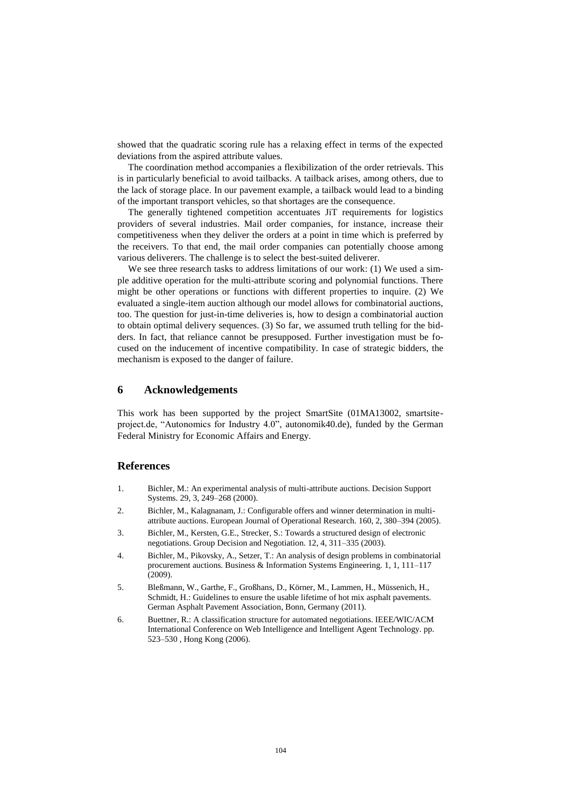showed that the quadratic scoring rule has a relaxing effect in terms of the expected deviations from the aspired attribute values.

The coordination method accompanies a flexibilization of the order retrievals. This is in particularly beneficial to avoid tailbacks. A tailback arises, among others, due to the lack of storage place. In our pavement example, a tailback would lead to a binding of the important transport vehicles, so that shortages are the consequence.

The generally tightened competition accentuates JiT requirements for logistics providers of several industries. Mail order companies, for instance, increase their competitiveness when they deliver the orders at a point in time which is preferred by the receivers. To that end, the mail order companies can potentially choose among various deliverers. The challenge is to select the best-suited deliverer.

We see three research tasks to address limitations of our work: (1) We used a simple additive operation for the multi-attribute scoring and polynomial functions. There might be other operations or functions with different properties to inquire. (2) We evaluated a single-item auction although our model allows for combinatorial auctions, too. The question for just-in-time deliveries is, how to design a combinatorial auction to obtain optimal delivery sequences. (3) So far, we assumed truth telling for the bidders. In fact, that reliance cannot be presupposed. Further investigation must be focused on the inducement of incentive compatibility. In case of strategic bidders, the mechanism is exposed to the danger of failure.

# **6 Acknowledgements**

This work has been supported by the project SmartSite (01MA13002, smartsiteproject.de, "Autonomics for Industry 4.0", autonomik40.de), funded by the German Federal Ministry for Economic Affairs and Energy.

#### **References**

- 1. Bichler, M.: An experimental analysis of multi-attribute auctions. Decision Support Systems. 29, 3, 249–268 (2000).
- 2. Bichler, M., Kalagnanam, J.: Configurable offers and winner determination in multiattribute auctions. European Journal of Operational Research. 160, 2, 380–394 (2005).
- 3. Bichler, M., Kersten, G.E., Strecker, S.: Towards a structured design of electronic negotiations. Group Decision and Negotiation. 12, 4, 311–335 (2003).
- 4. Bichler, M., Pikovsky, A., Setzer, T.: An analysis of design problems in combinatorial procurement auctions. Business & Information Systems Engineering. 1, 1, 111–117 (2009).
- 5. Bleßmann, W., Garthe, F., Großhans, D., Körner, M., Lammen, H., Müssenich, H., Schmidt, H.: Guidelines to ensure the usable lifetime of hot mix asphalt pavements. German Asphalt Pavement Association, Bonn, Germany (2011).
- 6. Buettner, R.: A classification structure for automated negotiations. IEEE/WIC/ACM International Conference on Web Intelligence and Intelligent Agent Technology. pp. 523–530 , Hong Kong (2006).